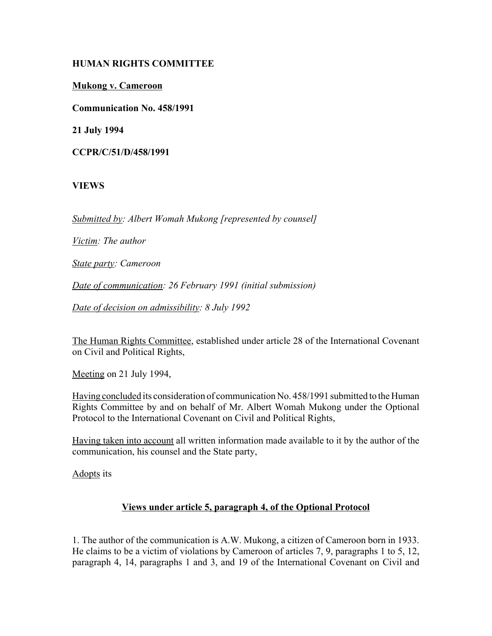### **HUMAN RIGHTS COMMITTEE**

**Mukong v. Cameroon**

**Communication No. 458/1991**

**21 July 1994**

**CCPR/C/51/D/458/1991**

#### **VIEWS**

*Submitted by: Albert Womah Mukong [represented by counsel]*

*Victim: The author*

*State party: Cameroon*

*Date of communication: 26 February 1991 (initial submission)*

*Date of decision on admissibility: 8 July 1992*

The Human Rights Committee, established under article 28 of the International Covenant on Civil and Political Rights,

Meeting on 21 July 1994,

Having concluded its consideration of communication No. 458/1991 submitted to the Human Rights Committee by and on behalf of Mr. Albert Womah Mukong under the Optional Protocol to the International Covenant on Civil and Political Rights,

Having taken into account all written information made available to it by the author of the communication, his counsel and the State party,

Adopts its

# **Views under article 5, paragraph 4, of the Optional Protocol**

1. The author of the communication is A.W. Mukong, a citizen of Cameroon born in 1933. He claims to be a victim of violations by Cameroon of articles 7, 9, paragraphs 1 to 5, 12, paragraph 4, 14, paragraphs 1 and 3, and 19 of the International Covenant on Civil and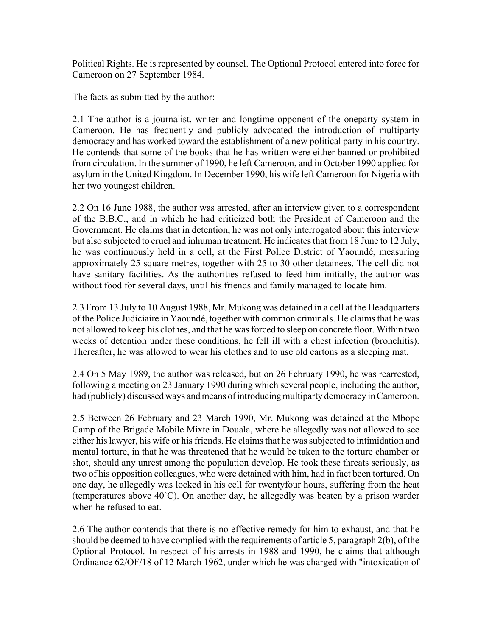Political Rights. He is represented by counsel. The Optional Protocol entered into force for Cameroon on 27 September 1984.

#### The facts as submitted by the author:

2.1 The author is a journalist, writer and longtime opponent of the oneparty system in Cameroon. He has frequently and publicly advocated the introduction of multiparty democracy and has worked toward the establishment of a new political party in his country. He contends that some of the books that he has written were either banned or prohibited from circulation. In the summer of 1990, he left Cameroon, and in October 1990 applied for asylum in the United Kingdom. In December 1990, his wife left Cameroon for Nigeria with her two youngest children.

2.2 On 16 June 1988, the author was arrested, after an interview given to a correspondent of the B.B.C., and in which he had criticized both the President of Cameroon and the Government. He claims that in detention, he was not only interrogated about this interview but also subjected to cruel and inhuman treatment. He indicates that from 18 June to 12 July, he was continuously held in a cell, at the First Police District of Yaoundé, measuring approximately 25 square metres, together with 25 to 30 other detainees. The cell did not have sanitary facilities. As the authorities refused to feed him initially, the author was without food for several days, until his friends and family managed to locate him.

2.3 From 13 July to 10 August 1988, Mr. Mukong was detained in a cell at the Headquarters of the Police Judiciaire in Yaoundé, together with common criminals. He claims that he was not allowed to keep his clothes, and that he was forced to sleep on concrete floor. Within two weeks of detention under these conditions, he fell ill with a chest infection (bronchitis). Thereafter, he was allowed to wear his clothes and to use old cartons as a sleeping mat.

2.4 On 5 May 1989, the author was released, but on 26 February 1990, he was rearrested, following a meeting on 23 January 1990 during which several people, including the author, had (publicly) discussed ways and means of introducing multiparty democracy in Cameroon.

2.5 Between 26 February and 23 March 1990, Mr. Mukong was detained at the Mbope Camp of the Brigade Mobile Mixte in Douala, where he allegedly was not allowed to see either his lawyer, his wife or his friends. He claims that he was subjected to intimidation and mental torture, in that he was threatened that he would be taken to the torture chamber or shot, should any unrest among the population develop. He took these threats seriously, as two of his opposition colleagues, who were detained with him, had in fact been tortured. On one day, he allegedly was locked in his cell for twentyfour hours, suffering from the heat (temperatures above  $40^{\circ}$ C). On another day, he allegedly was beaten by a prison warder when he refused to eat.

2.6 The author contends that there is no effective remedy for him to exhaust, and that he should be deemed to have complied with the requirements of article 5, paragraph 2(b), of the Optional Protocol. In respect of his arrests in 1988 and 1990, he claims that although Ordinance 62/OF/18 of 12 March 1962, under which he was charged with "intoxication of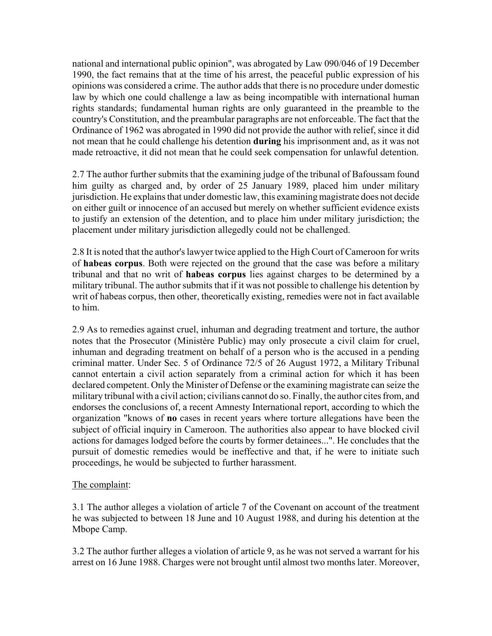national and international public opinion", was abrogated by Law 090/046 of 19 December 1990, the fact remains that at the time of his arrest, the peaceful public expression of his opinions was considered a crime. The author adds that there is no procedure under domestic law by which one could challenge a law as being incompatible with international human rights standards; fundamental human rights are only guaranteed in the preamble to the country's Constitution, and the preambular paragraphs are not enforceable. The fact that the Ordinance of 1962 was abrogated in 1990 did not provide the author with relief, since it did not mean that he could challenge his detention **during** his imprisonment and, as it was not made retroactive, it did not mean that he could seek compensation for unlawful detention.

2.7 The author further submits that the examining judge of the tribunal of Bafoussam found him guilty as charged and, by order of 25 January 1989, placed him under military jurisdiction. He explains that under domestic law, this examining magistrate does not decide on either guilt or innocence of an accused but merely on whether sufficient evidence exists to justify an extension of the detention, and to place him under military jurisdiction; the placement under military jurisdiction allegedly could not be challenged.

2.8 It is noted that the author's lawyer twice applied to the High Court of Cameroon for writs of **habeas corpus**. Both were rejected on the ground that the case was before a military tribunal and that no writ of **habeas corpus** lies against charges to be determined by a military tribunal. The author submits that if it was not possible to challenge his detention by writ of habeas corpus, then other, theoretically existing, remedies were not in fact available to him.

2.9 As to remedies against cruel, inhuman and degrading treatment and torture, the author notes that the Prosecutor (Ministère Public) may only prosecute a civil claim for cruel, inhuman and degrading treatment on behalf of a person who is the accused in a pending criminal matter. Under Sec. 5 of Ordinance 72/5 of 26 August 1972, a Military Tribunal cannot entertain a civil action separately from a criminal action for which it has been declared competent. Only the Minister of Defense or the examining magistrate can seize the military tribunal with a civil action; civilians cannot do so. Finally, the author cites from, and endorses the conclusions of, a recent Amnesty International report, according to which the organization "knows of **no** cases in recent years where torture allegations have been the subject of official inquiry in Cameroon. The authorities also appear to have blocked civil actions for damages lodged before the courts by former detainees...". He concludes that the pursuit of domestic remedies would be ineffective and that, if he were to initiate such proceedings, he would be subjected to further harassment.

# The complaint:

3.1 The author alleges a violation of article 7 of the Covenant on account of the treatment he was subjected to between 18 June and 10 August 1988, and during his detention at the Mbope Camp.

3.2 The author further alleges a violation of article 9, as he was not served a warrant for his arrest on 16 June 1988. Charges were not brought until almost two months later. Moreover,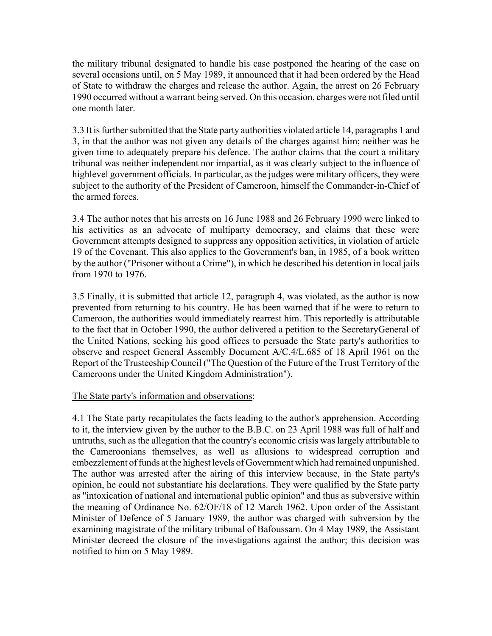the military tribunal designated to handle his case postponed the hearing of the case on several occasions until, on 5 May 1989, it announced that it had been ordered by the Head of State to withdraw the charges and release the author. Again, the arrest on 26 February 1990 occurred without a warrant being served. On this occasion, charges were not filed until one month later.

3.3 It is further submitted that the State party authorities violated article 14, paragraphs 1 and 3, in that the author was not given any details of the charges against him; neither was he given time to adequately prepare his defence. The author claims that the court a military tribunal was neither independent nor impartial, as it was clearly subject to the influence of highlevel government officials. In particular, as the judges were military officers, they were subject to the authority of the President of Cameroon, himself the Commander-in-Chief of the armed forces.

3.4 The author notes that his arrests on 16 June 1988 and 26 February 1990 were linked to his activities as an advocate of multiparty democracy, and claims that these were Government attempts designed to suppress any opposition activities, in violation of article 19 of the Covenant. This also applies to the Government's ban, in 1985, of a book written by the author ("Prisoner without a Crime"), in which he described his detention in local jails from 1970 to 1976.

3.5 Finally, it is submitted that article 12, paragraph 4, was violated, as the author is now prevented from returning to his country. He has been warned that if he were to return to Cameroon, the authorities would immediately rearrest him. This reportedly is attributable to the fact that in October 1990, the author delivered a petition to the SecretaryGeneral of the United Nations, seeking his good offices to persuade the State party's authorities to observe and respect General Assembly Document A/C.4/L.685 of 18 April 1961 on the Report of the Trusteeship Council ("The Question of the Future of the Trust Territory of the Cameroons under the United Kingdom Administration").

#### The State party's information and observations:

4.1 The State party recapitulates the facts leading to the author's apprehension. According to it, the interview given by the author to the B.B.C. on 23 April 1988 was full of half and untruths, such as the allegation that the country's economic crisis was largely attributable to the Cameroonians themselves, as well as allusions to widespread corruption and embezzlement of funds at the highest levels of Government which had remained unpunished. The author was arrested after the airing of this interview because, in the State party's opinion, he could not substantiate his declarations. They were qualified by the State party as "intoxication of national and international public opinion" and thus as subversive within the meaning of Ordinance No. 62/OF/18 of 12 March 1962. Upon order of the Assistant Minister of Defence of 5 January 1989, the author was charged with subversion by the examining magistrate of the military tribunal of Bafoussam. On 4 May 1989, the Assistant Minister decreed the closure of the investigations against the author; this decision was notified to him on 5 May 1989.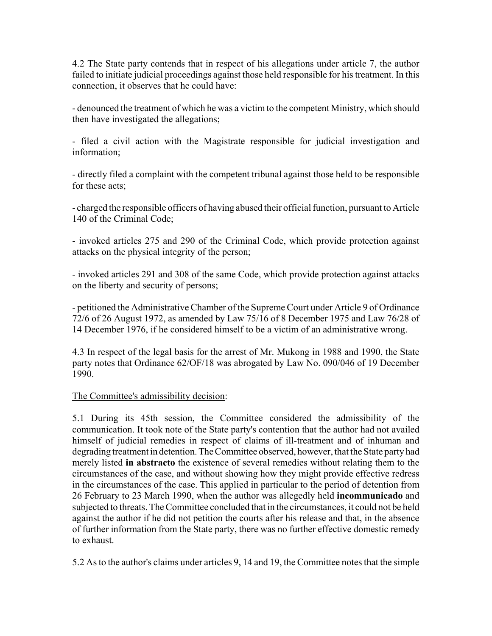4.2 The State party contends that in respect of his allegations under article 7, the author failed to initiate judicial proceedings against those held responsible for his treatment. In this connection, it observes that he could have:

- denounced the treatment of which he was a victim to the competent Ministry, which should then have investigated the allegations;

- filed a civil action with the Magistrate responsible for judicial investigation and information;

- directly filed a complaint with the competent tribunal against those held to be responsible for these acts;

- charged the responsible officers of having abused their official function, pursuant to Article 140 of the Criminal Code;

- invoked articles 275 and 290 of the Criminal Code, which provide protection against attacks on the physical integrity of the person;

- invoked articles 291 and 308 of the same Code, which provide protection against attacks on the liberty and security of persons;

- petitioned the Administrative Chamber of the Supreme Court under Article 9 of Ordinance 72/6 of 26 August 1972, as amended by Law 75/16 of 8 December 1975 and Law 76/28 of 14 December 1976, if he considered himself to be a victim of an administrative wrong.

4.3 In respect of the legal basis for the arrest of Mr. Mukong in 1988 and 1990, the State party notes that Ordinance 62/OF/18 was abrogated by Law No. 090/046 of 19 December 1990.

# The Committee's admissibility decision:

5.1 During its 45th session, the Committee considered the admissibility of the communication. It took note of the State party's contention that the author had not availed himself of judicial remedies in respect of claims of ill-treatment and of inhuman and degrading treatment in detention. The Committee observed, however, that the State party had merely listed **in abstracto** the existence of several remedies without relating them to the circumstances of the case, and without showing how they might provide effective redress in the circumstances of the case. This applied in particular to the period of detention from 26 February to 23 March 1990, when the author was allegedly held **incommunicado** and subjected to threats. The Committee concluded that in the circumstances, it could not be held against the author if he did not petition the courts after his release and that, in the absence of further information from the State party, there was no further effective domestic remedy to exhaust.

5.2 As to the author's claims under articles 9, 14 and 19, the Committee notes that the simple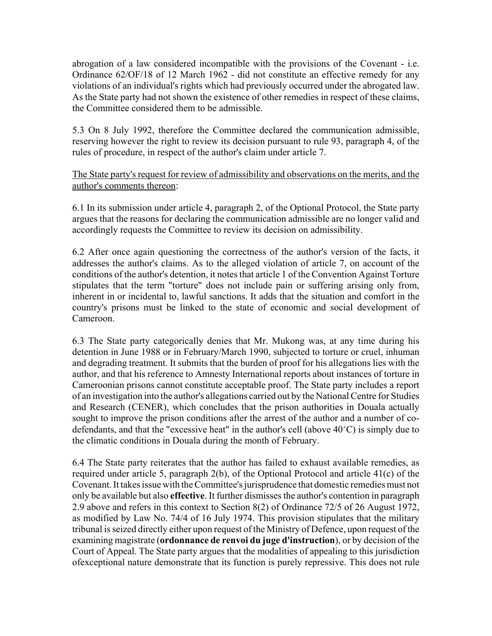abrogation of a law considered incompatible with the provisions of the Covenant - i.e. Ordinance 62/OF/18 of 12 March 1962 - did not constitute an effective remedy for any violations of an individual's rights which had previously occurred under the abrogated law. As the State party had not shown the existence of other remedies in respect of these claims, the Committee considered them to be admissible.

5.3 On 8 July 1992, therefore the Committee declared the communication admissible, reserving however the right to review its decision pursuant to rule 93, paragraph 4, of the rules of procedure, in respect of the author's claim under article 7.

The State party's request for review of admissibility and observations on the merits, and the author's comments thereon:

6.1 In its submission under article 4, paragraph 2, of the Optional Protocol, the State party argues that the reasons for declaring the communication admissible are no longer valid and accordingly requests the Committee to review its decision on admissibility.

6.2 After once again questioning the correctness of the author's version of the facts, it addresses the author's claims. As to the alleged violation of article 7, on account of the conditions of the author's detention, it notes that article 1 of the Convention Against Torture stipulates that the term "torture" does not include pain or suffering arising only from, inherent in or incidental to, lawful sanctions. It adds that the situation and comfort in the country's prisons must be linked to the state of economic and social development of Cameroon.

6.3 The State party categorically denies that Mr. Mukong was, at any time during his detention in June 1988 or in February/March 1990, subjected to torture or cruel, inhuman and degrading treatment. It submits that the burden of proof for his allegations lies with the author, and that his reference to Amnesty International reports about instances of torture in Cameroonian prisons cannot constitute acceptable proof. The State party includes a report of an investigation into the author's allegations carried out by the National Centre for Studies and Research (CENER), which concludes that the prison authorities in Douala actually sought to improve the prison conditions after the arrest of the author and a number of codefendants, and that the "excessive heat" in the author's cell (above  $40^{\circ}$ C) is simply due to the climatic conditions in Douala during the month of February.

6.4 The State party reiterates that the author has failed to exhaust available remedies, as required under article 5, paragraph 2(b), of the Optional Protocol and article 41(c) of the Covenant. It takes issue with the Committee's jurisprudence that domestic remedies must not only be available but also **effective**. It further dismisses the author's contention in paragraph 2.9 above and refers in this context to Section 8(2) of Ordinance 72/5 of 26 August 1972, as modified by Law No. 74/4 of 16 July 1974. This provision stipulates that the military tribunal is seized directly either upon request of the Ministry of Defence, upon request of the examining magistrate (**ordonnance de renvoi du juge d'instruction**), or by decision of the Court of Appeal. The State party argues that the modalities of appealing to this jurisdiction ofexceptional nature demonstrate that its function is purely repressive. This does not rule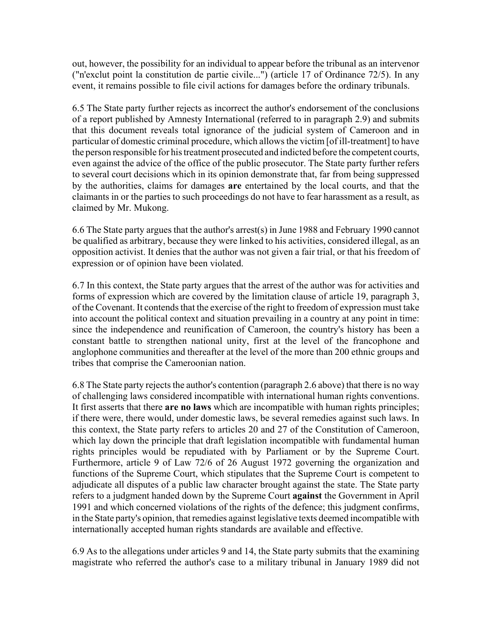out, however, the possibility for an individual to appear before the tribunal as an intervenor ("n'exclut point la constitution de partie civile...") (article 17 of Ordinance 72/5). In any event, it remains possible to file civil actions for damages before the ordinary tribunals.

6.5 The State party further rejects as incorrect the author's endorsement of the conclusions of a report published by Amnesty International (referred to in paragraph 2.9) and submits that this document reveals total ignorance of the judicial system of Cameroon and in particular of domestic criminal procedure, which allows the victim [of ill-treatment] to have the person responsible for his treatment prosecuted and indicted before the competent courts, even against the advice of the office of the public prosecutor. The State party further refers to several court decisions which in its opinion demonstrate that, far from being suppressed by the authorities, claims for damages **are** entertained by the local courts, and that the claimants in or the parties to such proceedings do not have to fear harassment as a result, as claimed by Mr. Mukong.

6.6 The State party argues that the author's arrest(s) in June 1988 and February 1990 cannot be qualified as arbitrary, because they were linked to his activities, considered illegal, as an opposition activist. It denies that the author was not given a fair trial, or that his freedom of expression or of opinion have been violated.

6.7 In this context, the State party argues that the arrest of the author was for activities and forms of expression which are covered by the limitation clause of article 19, paragraph 3, of the Covenant. It contends that the exercise of the right to freedom of expression must take into account the political context and situation prevailing in a country at any point in time: since the independence and reunification of Cameroon, the country's history has been a constant battle to strengthen national unity, first at the level of the francophone and anglophone communities and thereafter at the level of the more than 200 ethnic groups and tribes that comprise the Cameroonian nation.

6.8 The State party rejects the author's contention (paragraph 2.6 above) that there is no way of challenging laws considered incompatible with international human rights conventions. It first asserts that there **are no laws** which are incompatible with human rights principles; if there were, there would, under domestic laws, be several remedies against such laws. In this context, the State party refers to articles 20 and 27 of the Constitution of Cameroon, which lay down the principle that draft legislation incompatible with fundamental human rights principles would be repudiated with by Parliament or by the Supreme Court. Furthermore, article 9 of Law 72/6 of 26 August 1972 governing the organization and functions of the Supreme Court, which stipulates that the Supreme Court is competent to adjudicate all disputes of a public law character brought against the state. The State party refers to a judgment handed down by the Supreme Court **against** the Government in April 1991 and which concerned violations of the rights of the defence; this judgment confirms, in the State party's opinion, that remedies against legislative texts deemed incompatible with internationally accepted human rights standards are available and effective.

6.9 As to the allegations under articles 9 and 14, the State party submits that the examining magistrate who referred the author's case to a military tribunal in January 1989 did not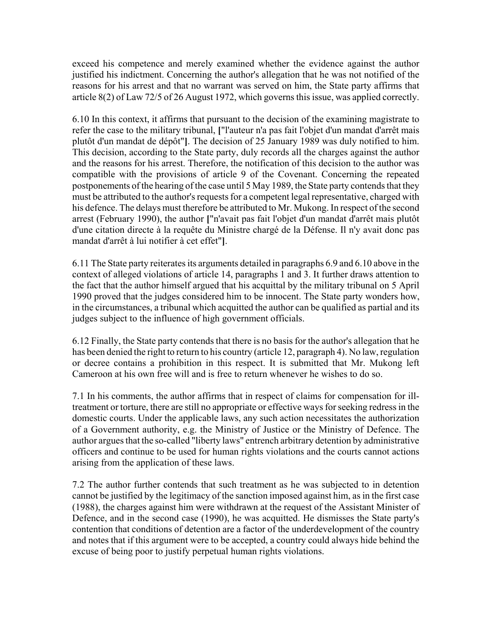exceed his competence and merely examined whether the evidence against the author justified his indictment. Concerning the author's allegation that he was not notified of the reasons for his arrest and that no warrant was served on him, the State party affirms that article 8(2) of Law 72/5 of 26 August 1972, which governs this issue, was applied correctly.

6.10 In this context, it affirms that pursuant to the decision of the examining magistrate to refer the case to the military tribunal, ["l'auteur n'a pas fait l'objet d'un mandat d'arrêt mais plutôt d'un mandat de dépôt"**]**. The decision of 25 January 1989 was duly notified to him. This decision, according to the State party, duly records all the charges against the author and the reasons for his arrest. Therefore, the notification of this decision to the author was compatible with the provisions of article 9 of the Covenant. Concerning the repeated postponements of the hearing of the case until 5 May 1989, the State party contends that they must be attributed to the author's requests for a competent legal representative, charged with his defence. The delays must therefore be attributed to Mr. Mukong. In respect of the second arrest (February 1990), the author *["n'avait pas fait l'objet d'un mandat d'arrêt mais plutôt* d'une citation directe à la requête du Ministre chargé de la Défense. Il n'y avait donc pas mandat d'arrêt à lui notifier à cet effet"].

6.11 The State party reiterates its arguments detailed in paragraphs 6.9 and 6.10 above in the context of alleged violations of article 14, paragraphs 1 and 3. It further draws attention to the fact that the author himself argued that his acquittal by the military tribunal on 5 April 1990 proved that the judges considered him to be innocent. The State party wonders how, in the circumstances, a tribunal which acquitted the author can be qualified as partial and its judges subject to the influence of high government officials.

6.12 Finally, the State party contends that there is no basis for the author's allegation that he has been denied the right to return to his country (article 12, paragraph 4). No law, regulation or decree contains a prohibition in this respect. It is submitted that Mr. Mukong left Cameroon at his own free will and is free to return whenever he wishes to do so.

7.1 In his comments, the author affirms that in respect of claims for compensation for illtreatment or torture, there are still no appropriate or effective ways for seeking redress in the domestic courts. Under the applicable laws, any such action necessitates the authorization of a Government authority, e.g. the Ministry of Justice or the Ministry of Defence. The author argues that the so-called "liberty laws" entrench arbitrary detention by administrative officers and continue to be used for human rights violations and the courts cannot actions arising from the application of these laws.

7.2 The author further contends that such treatment as he was subjected to in detention cannot be justified by the legitimacy of the sanction imposed against him, as in the first case (1988), the charges against him were withdrawn at the request of the Assistant Minister of Defence, and in the second case (1990), he was acquitted. He dismisses the State party's contention that conditions of detention are a factor of the underdevelopment of the country and notes that if this argument were to be accepted, a country could always hide behind the excuse of being poor to justify perpetual human rights violations.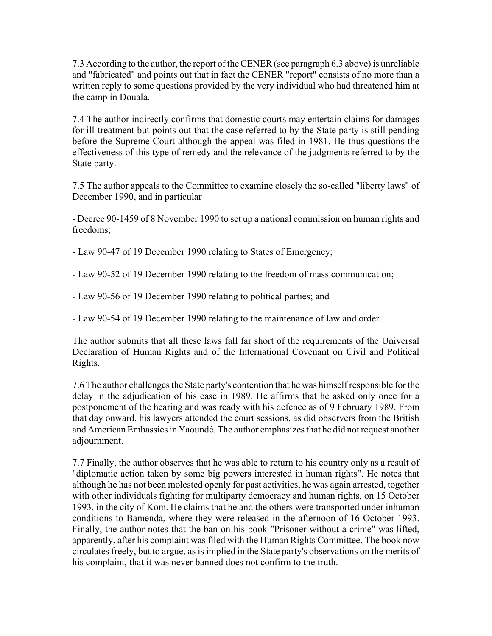7.3 According to the author, the report of the CENER (see paragraph 6.3 above) is unreliable and "fabricated" and points out that in fact the CENER "report" consists of no more than a written reply to some questions provided by the very individual who had threatened him at the camp in Douala.

7.4 The author indirectly confirms that domestic courts may entertain claims for damages for ill-treatment but points out that the case referred to by the State party is still pending before the Supreme Court although the appeal was filed in 1981. He thus questions the effectiveness of this type of remedy and the relevance of the judgments referred to by the State party.

7.5 The author appeals to the Committee to examine closely the so-called "liberty laws" of December 1990, and in particular

- Decree 90-1459 of 8 November 1990 to set up a national commission on human rights and freedoms;

- Law 90-47 of 19 December 1990 relating to States of Emergency;

- Law 90-52 of 19 December 1990 relating to the freedom of mass communication;

- Law 90-56 of 19 December 1990 relating to political parties; and

- Law 90-54 of 19 December 1990 relating to the maintenance of law and order.

The author submits that all these laws fall far short of the requirements of the Universal Declaration of Human Rights and of the International Covenant on Civil and Political Rights.

7.6 The author challenges the State party's contention that he was himself responsible for the delay in the adjudication of his case in 1989. He affirms that he asked only once for a postponement of the hearing and was ready with his defence as of 9 February 1989. From that day onward, his lawyers attended the court sessions, as did observers from the British and American Embassies in Yaoundé. The author emphasizes that he did not request another adjournment.

7.7 Finally, the author observes that he was able to return to his country only as a result of "diplomatic action taken by some big powers interested in human rights". He notes that although he has not been molested openly for past activities, he was again arrested, together with other individuals fighting for multiparty democracy and human rights, on 15 October 1993, in the city of Kom. He claims that he and the others were transported under inhuman conditions to Bamenda, where they were released in the afternoon of 16 October 1993. Finally, the author notes that the ban on his book "Prisoner without a crime" was lifted, apparently, after his complaint was filed with the Human Rights Committee. The book now circulates freely, but to argue, as is implied in the State party's observations on the merits of his complaint, that it was never banned does not confirm to the truth.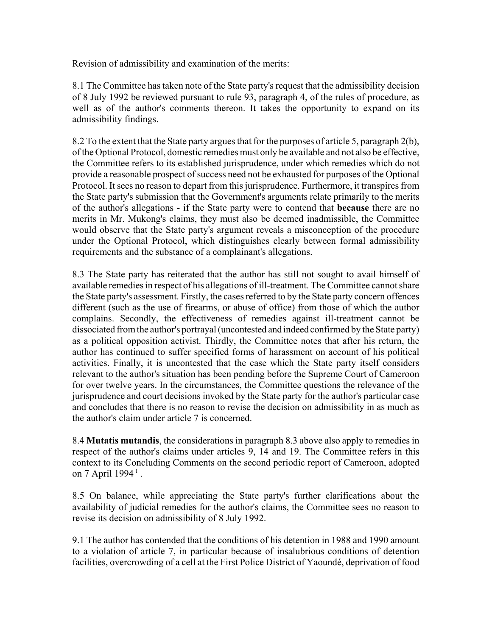### Revision of admissibility and examination of the merits:

8.1 The Committee has taken note of the State party's request that the admissibility decision of 8 July 1992 be reviewed pursuant to rule 93, paragraph 4, of the rules of procedure, as well as of the author's comments thereon. It takes the opportunity to expand on its admissibility findings.

8.2 To the extent that the State party argues that for the purposes of article 5, paragraph 2(b), of the Optional Protocol, domestic remedies must only be available and not also be effective, the Committee refers to its established jurisprudence, under which remedies which do not provide a reasonable prospect of success need not be exhausted for purposes of the Optional Protocol. It sees no reason to depart from this jurisprudence. Furthermore, it transpires from the State party's submission that the Government's arguments relate primarily to the merits of the author's allegations - if the State party were to contend that **because** there are no merits in Mr. Mukong's claims, they must also be deemed inadmissible, the Committee would observe that the State party's argument reveals a misconception of the procedure under the Optional Protocol, which distinguishes clearly between formal admissibility requirements and the substance of a complainant's allegations.

8.3 The State party has reiterated that the author has still not sought to avail himself of available remedies in respect of his allegations of ill-treatment. The Committee cannot share the State party's assessment. Firstly, the cases referred to by the State party concern offences different (such as the use of firearms, or abuse of office) from those of which the author complains. Secondly, the effectiveness of remedies against ill-treatment cannot be dissociated from the author's portrayal (uncontested and indeed confirmed by the State party) as a political opposition activist. Thirdly, the Committee notes that after his return, the author has continued to suffer specified forms of harassment on account of his political activities. Finally, it is uncontested that the case which the State party itself considers relevant to the author's situation has been pending before the Supreme Court of Cameroon for over twelve years. In the circumstances, the Committee questions the relevance of the jurisprudence and court decisions invoked by the State party for the author's particular case and concludes that there is no reason to revise the decision on admissibility in as much as the author's claim under article 7 is concerned.

8.4 **Mutatis mutandis**, the considerations in paragraph 8.3 above also apply to remedies in respect of the author's claims under articles 9, 14 and 19. The Committee refers in this context to its Concluding Comments on the second periodic report of Cameroon, adopted on 7 April 1994 $<sup>1</sup>$ .</sup>

8.5 On balance, while appreciating the State party's further clarifications about the availability of judicial remedies for the author's claims, the Committee sees no reason to revise its decision on admissibility of 8 July 1992.

9.1 The author has contended that the conditions of his detention in 1988 and 1990 amount to a violation of article 7, in particular because of insalubrious conditions of detention facilities, overcrowding of a cell at the First Police District of Yaoundé, deprivation of food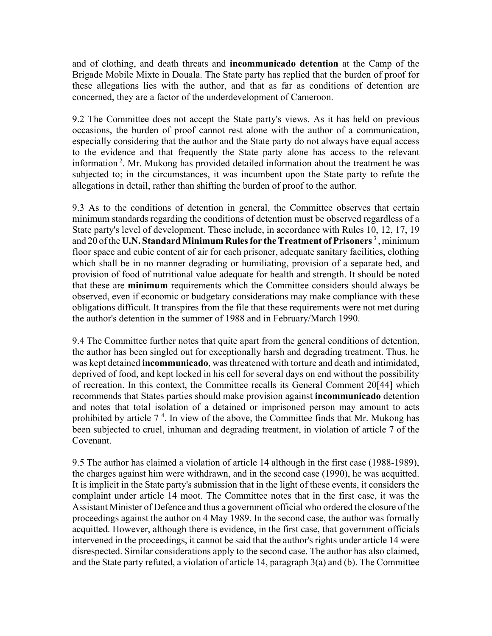and of clothing, and death threats and **incommunicado detention** at the Camp of the Brigade Mobile Mixte in Douala. The State party has replied that the burden of proof for these allegations lies with the author, and that as far as conditions of detention are concerned, they are a factor of the underdevelopment of Cameroon.

9.2 The Committee does not accept the State party's views. As it has held on previous occasions, the burden of proof cannot rest alone with the author of a communication, especially considering that the author and the State party do not always have equal access to the evidence and that frequently the State party alone has access to the relevant information 2. Mr. Mukong has provided detailed information about the treatment he was subjected to; in the circumstances, it was incumbent upon the State party to refute the allegations in detail, rather than shifting the burden of proof to the author.

9.3 As to the conditions of detention in general, the Committee observes that certain minimum standards regarding the conditions of detention must be observed regardless of a State party's level of development. These include, in accordance with Rules 10, 12, 17, 19 and 20 of the **U.N. Standard Minimum Rules for the Treatment of Prisoners**<sup>3</sup>, minimum floor space and cubic content of air for each prisoner, adequate sanitary facilities, clothing which shall be in no manner degrading or humiliating, provision of a separate bed, and provision of food of nutritional value adequate for health and strength. It should be noted that these are **minimum** requirements which the Committee considers should always be observed, even if economic or budgetary considerations may make compliance with these obligations difficult. It transpires from the file that these requirements were not met during the author's detention in the summer of 1988 and in February/March 1990.

9.4 The Committee further notes that quite apart from the general conditions of detention, the author has been singled out for exceptionally harsh and degrading treatment. Thus, he was kept detained **incommunicado**, was threatened with torture and death and intimidated, deprived of food, and kept locked in his cell for several days on end without the possibility of recreation. In this context, the Committee recalls its General Comment 20[44] which recommends that States parties should make provision against **incommunicado** detention and notes that total isolation of a detained or imprisoned person may amount to acts prohibited by article  $7<sup>4</sup>$ . In view of the above, the Committee finds that Mr. Mukong has been subjected to cruel, inhuman and degrading treatment, in violation of article 7 of the Covenant.

9.5 The author has claimed a violation of article 14 although in the first case (1988-1989), the charges against him were withdrawn, and in the second case (1990), he was acquitted. It is implicit in the State party's submission that in the light of these events, it considers the complaint under article 14 moot. The Committee notes that in the first case, it was the Assistant Minister of Defence and thus a government official who ordered the closure of the proceedings against the author on 4 May 1989. In the second case, the author was formally acquitted. However, although there is evidence, in the first case, that government officials intervened in the proceedings, it cannot be said that the author's rights under article 14 were disrespected. Similar considerations apply to the second case. The author has also claimed, and the State party refuted, a violation of article 14, paragraph 3(a) and (b). The Committee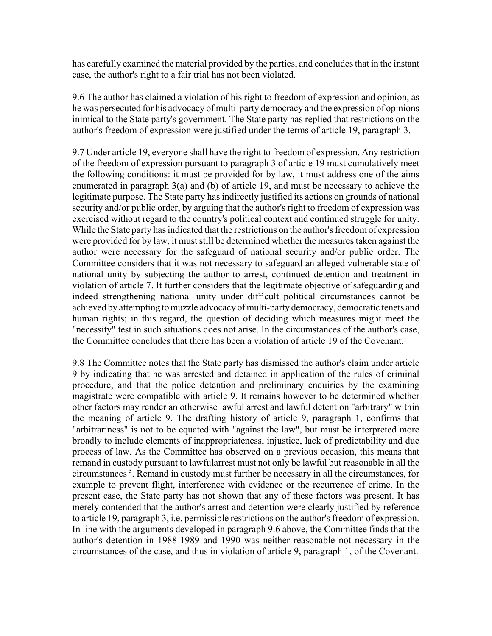has carefully examined the material provided by the parties, and concludes that in the instant case, the author's right to a fair trial has not been violated.

9.6 The author has claimed a violation of his right to freedom of expression and opinion, as he was persecuted for his advocacy of multi-party democracy and the expression of opinions inimical to the State party's government. The State party has replied that restrictions on the author's freedom of expression were justified under the terms of article 19, paragraph 3.

9.7 Under article 19, everyone shall have the right to freedom of expression. Any restriction of the freedom of expression pursuant to paragraph 3 of article 19 must cumulatively meet the following conditions: it must be provided for by law, it must address one of the aims enumerated in paragraph 3(a) and (b) of article 19, and must be necessary to achieve the legitimate purpose. The State party has indirectly justified its actions on grounds of national security and/or public order, by arguing that the author's right to freedom of expression was exercised without regard to the country's political context and continued struggle for unity. While the State party has indicated that the restrictions on the author's freedom of expression were provided for by law, it must still be determined whether the measures taken against the author were necessary for the safeguard of national security and/or public order. The Committee considers that it was not necessary to safeguard an alleged vulnerable state of national unity by subjecting the author to arrest, continued detention and treatment in violation of article 7. It further considers that the legitimate objective of safeguarding and indeed strengthening national unity under difficult political circumstances cannot be achieved by attempting to muzzle advocacy of multi-party democracy, democratic tenets and human rights; in this regard, the question of deciding which measures might meet the "necessity" test in such situations does not arise. In the circumstances of the author's case, the Committee concludes that there has been a violation of article 19 of the Covenant.

9.8 The Committee notes that the State party has dismissed the author's claim under article 9 by indicating that he was arrested and detained in application of the rules of criminal procedure, and that the police detention and preliminary enquiries by the examining magistrate were compatible with article 9. It remains however to be determined whether other factors may render an otherwise lawful arrest and lawful detention "arbitrary" within the meaning of article 9. The drafting history of article 9, paragraph 1, confirms that "arbitrariness" is not to be equated with "against the law", but must be interpreted more broadly to include elements of inappropriateness, injustice, lack of predictability and due process of law. As the Committee has observed on a previous occasion, this means that remand in custody pursuant to lawfularrest must not only be lawful but reasonable in all the circumstances 5 . Remand in custody must further be necessary in all the circumstances, for example to prevent flight, interference with evidence or the recurrence of crime. In the present case, the State party has not shown that any of these factors was present. It has merely contended that the author's arrest and detention were clearly justified by reference to article 19, paragraph 3, i.e. permissible restrictions on the author's freedom of expression. In line with the arguments developed in paragraph 9.6 above, the Committee finds that the author's detention in 1988-1989 and 1990 was neither reasonable not necessary in the circumstances of the case, and thus in violation of article 9, paragraph 1, of the Covenant.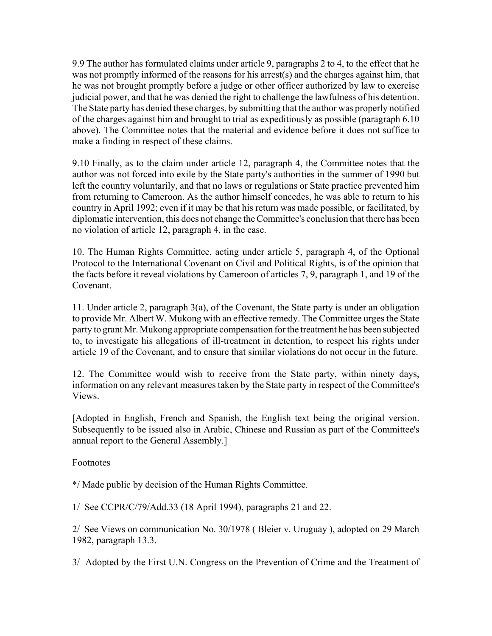9.9 The author has formulated claims under article 9, paragraphs 2 to 4, to the effect that he was not promptly informed of the reasons for his arrest(s) and the charges against him, that he was not brought promptly before a judge or other officer authorized by law to exercise judicial power, and that he was denied the right to challenge the lawfulness of his detention. The State party has denied these charges, by submitting that the author was properly notified of the charges against him and brought to trial as expeditiously as possible (paragraph 6.10 above). The Committee notes that the material and evidence before it does not suffice to make a finding in respect of these claims.

9.10 Finally, as to the claim under article 12, paragraph 4, the Committee notes that the author was not forced into exile by the State party's authorities in the summer of 1990 but left the country voluntarily, and that no laws or regulations or State practice prevented him from returning to Cameroon. As the author himself concedes, he was able to return to his country in April 1992; even if it may be that his return was made possible, or facilitated, by diplomatic intervention, this does not change the Committee's conclusion that there has been no violation of article 12, paragraph 4, in the case.

10. The Human Rights Committee, acting under article 5, paragraph 4, of the Optional Protocol to the International Covenant on Civil and Political Rights, is of the opinion that the facts before it reveal violations by Cameroon of articles 7, 9, paragraph 1, and 19 of the Covenant.

11. Under article 2, paragraph 3(a), of the Covenant, the State party is under an obligation to provide Mr. Albert W. Mukong with an effective remedy. The Committee urges the State party to grant Mr. Mukong appropriate compensation for the treatment he has been subjected to, to investigate his allegations of ill-treatment in detention, to respect his rights under article 19 of the Covenant, and to ensure that similar violations do not occur in the future.

12. The Committee would wish to receive from the State party, within ninety days, information on any relevant measures taken by the State party in respect of the Committee's Views.

[Adopted in English, French and Spanish, the English text being the original version. Subsequently to be issued also in Arabic, Chinese and Russian as part of the Committee's annual report to the General Assembly.]

# Footnotes

\*/ Made public by decision of the Human Rights Committee.

1/ See CCPR/C/79/Add.33 (18 April 1994), paragraphs 21 and 22.

2/ See Views on communication No. 30/1978 ( Bleier v. Uruguay ), adopted on 29 March 1982, paragraph 13.3.

3/ Adopted by the First U.N. Congress on the Prevention of Crime and the Treatment of